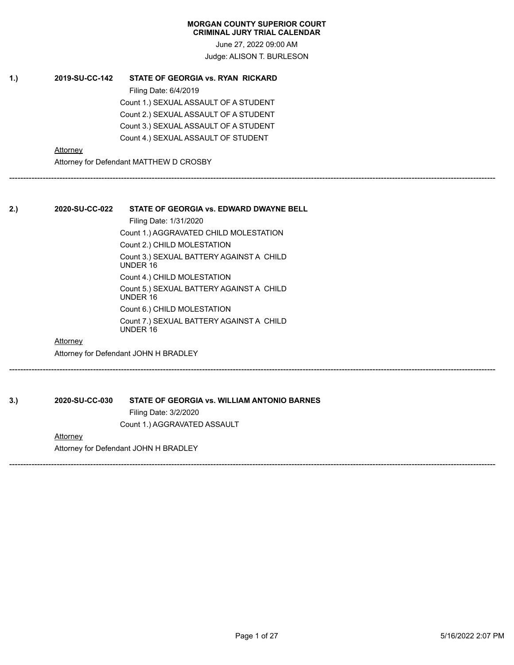June 27, 2022 09:00 AM Judge: ALISON T. BURLESON

------------------------------------------------------------------------------------------------------------------------------------------------------------------------------

------------------------------------------------------------------------------------------------------------------------------------------------------------------------------

------------------------------------------------------------------------------------------------------------------------------------------------------------------------------

# **1.) 2019-SU-CC-142 STATE OF GEORGIA vs. RYAN RICKARD** Filing Date: 6/4/2019 Count 1.) SEXUAL ASSAULT OF A STUDENT Count 2.) SEXUAL ASSAULT OF A STUDENT

Count 3.) SEXUAL ASSAULT OF A STUDENT Count 4.) SEXUAL ASSAULT OF STUDENT

**Attorney** 

Attorney for Defendant MATTHEW D CROSBY

# **2.) 2020-SU-CC-022 STATE OF GEORGIA vs. EDWARD DWAYNE BELL**

Filing Date: 1/31/2020 Count 1.) AGGRAVATED CHILD MOLESTATION Count 2.) CHILD MOLESTATION Count 3.) SEXUAL BATTERY AGAINST A CHILD UNDER 16 Count 4.) CHILD MOLESTATION Count 5.) SEXUAL BATTERY AGAINST A CHILD UNDER 16 Count 6.) CHILD MOLESTATION Count 7.) SEXUAL BATTERY AGAINST A CHILD UNDER 16

# Attorney

Attorney for Defendant JOHN H BRADLEY

**3.) 2020-SU-CC-030 STATE OF GEORGIA vs. WILLIAM ANTONIO BARNES** Filing Date: 3/2/2020

Count 1.) AGGRAVATED ASSAULT

# **Attorney**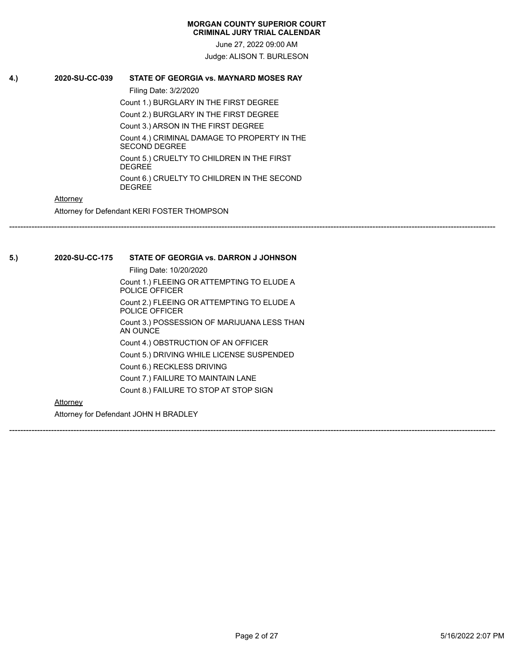June 27, 2022 09:00 AM Judge: ALISON T. BURLESON

------------------------------------------------------------------------------------------------------------------------------------------------------------------------------

------------------------------------------------------------------------------------------------------------------------------------------------------------------------------

# **4.) 2020-SU-CC-039 STATE OF GEORGIA vs. MAYNARD MOSES RAY**

Filing Date: 3/2/2020

Count 1.) BURGLARY IN THE FIRST DEGREE Count 2.) BURGLARY IN THE FIRST DEGREE

Count 3.) ARSON IN THE FIRST DEGREE

Count 4.) CRIMINAL DAMAGE TO PROPERTY IN THE SECOND DEGREE

Count 5.) CRUELTY TO CHILDREN IN THE FIRST DEGREE

Count 6.) CRUELTY TO CHILDREN IN THE SECOND **DEGREE** 

# **Attorney**

Attorney for Defendant KERI FOSTER THOMPSON

**5.) 2020-SU-CC-175 STATE OF GEORGIA vs. DARRON J JOHNSON**

Filing Date: 10/20/2020 Count 1.) FLEEING OR ATTEMPTING TO ELUDE A POLICE OFFICER Count 2.) FLEEING OR ATTEMPTING TO ELUDE A POLICE OFFICER Count 3.) POSSESSION OF MARIJUANA LESS THAN AN OUNCE Count 4.) OBSTRUCTION OF AN OFFICER Count 5.) DRIVING WHILE LICENSE SUSPENDED Count 6.) RECKLESS DRIVING Count 7.) FAILURE TO MAINTAIN LANE Count 8.) FAILURE TO STOP AT STOP SIGN

# **Attorney**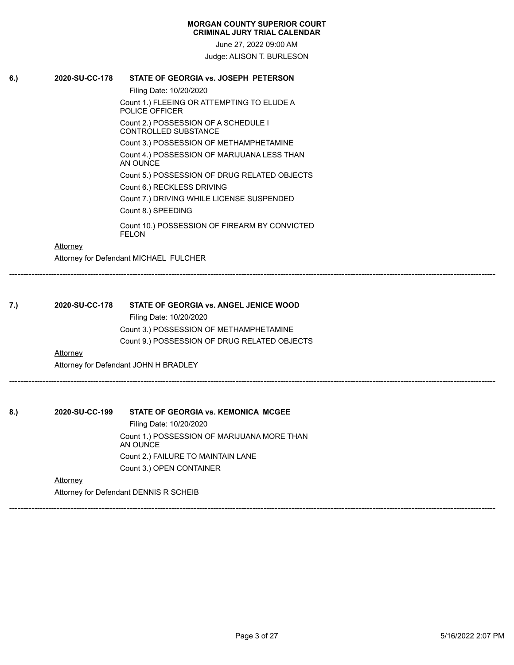June 27, 2022 09:00 AM Judge: ALISON T. BURLESON

**6.) 2020-SU-CC-178 STATE OF GEORGIA vs. JOSEPH PETERSON**

Filing Date: 10/20/2020 Count 1.) FLEEING OR ATTEMPTING TO ELUDE A POLICE OFFICER Count 2.) POSSESSION OF A SCHEDULE I CONTROLLED SUBSTANCE Count 3.) POSSESSION OF METHAMPHETAMINE Count 4.) POSSESSION OF MARIJUANA LESS THAN AN OUNCE Count 5.) POSSESSION OF DRUG RELATED OBJECTS Count 6.) RECKLESS DRIVING Count 7.) DRIVING WHILE LICENSE SUSPENDED Count 8.) SPEEDING Count 10.) POSSESSION OF FIREARM BY CONVICTED FELON

# **Attorney**

Attorney for Defendant MICHAEL FULCHER

| 7.) | 2020-SU-CC-178 | <b>STATE OF GEORGIA vs. ANGEL JENICE WOOD</b> |  |
|-----|----------------|-----------------------------------------------|--|
|     |                | Filing Date: 10/20/2020                       |  |

Count 3.) POSSESSION OF METHAMPHETAMINE Count 9.) POSSESSION OF DRUG RELATED OBJECTS

------------------------------------------------------------------------------------------------------------------------------------------------------------------------------

------------------------------------------------------------------------------------------------------------------------------------------------------------------------------

------------------------------------------------------------------------------------------------------------------------------------------------------------------------------

# **Attorney**

Attorney for Defendant JOHN H BRADLEY

**8.) 2020-SU-CC-199 STATE OF GEORGIA vs. KEMONICA MCGEE**

Filing Date: 10/20/2020 Count 1.) POSSESSION OF MARIJUANA MORE THAN AN OUNCE Count 2.) FAILURE TO MAINTAIN LANE Count 3.) OPEN CONTAINER

# **Attorney**

Attorney for Defendant DENNIS R SCHEIB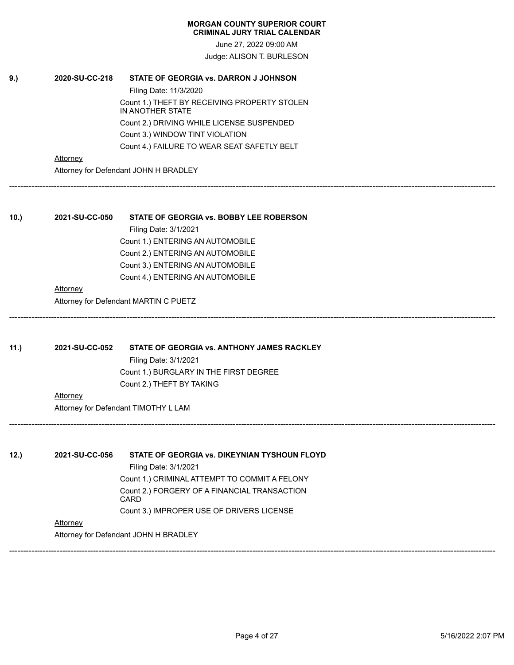June 27, 2022 09:00 AM Judge: ALISON T. BURLESON

------------------------------------------------------------------------------------------------------------------------------------------------------------------------------

------------------------------------------------------------------------------------------------------------------------------------------------------------------------------

------------------------------------------------------------------------------------------------------------------------------------------------------------------------------

# **9.) 2020-SU-CC-218 STATE OF GEORGIA vs. DARRON J JOHNSON**

Filing Date: 11/3/2020 Count 1.) THEFT BY RECEIVING PROPERTY STOLEN IN ANOTHER STATE Count 2.) DRIVING WHILE LICENSE SUSPENDED Count 3.) WINDOW TINT VIOLATION Count 4.) FAILURE TO WEAR SEAT SAFETLY BELT

**Attorney** 

Attorney for Defendant JOHN H BRADLEY

# **10.) 2021-SU-CC-050 STATE OF GEORGIA vs. BOBBY LEE ROBERSON**

Filing Date: 3/1/2021 Count 1.) ENTERING AN AUTOMOBILE Count 2.) ENTERING AN AUTOMOBILE Count 3.) ENTERING AN AUTOMOBILE Count 4.) ENTERING AN AUTOMOBILE

# **Attorney**

Attorney for Defendant MARTIN C PUETZ

**11.) 2021-SU-CC-052 STATE OF GEORGIA vs. ANTHONY JAMES RACKLEY**

Filing Date: 3/1/2021 Count 1.) BURGLARY IN THE FIRST DEGREE Count 2.) THEFT BY TAKING

# **Attorney**

Attorney for Defendant TIMOTHY L LAM

**12.) 2021-SU-CC-056 STATE OF GEORGIA vs. DIKEYNIAN TYSHOUN FLOYD** Filing Date: 3/1/2021 Count 1.) CRIMINAL ATTEMPT TO COMMIT A FELONY Count 2.) FORGERY OF A FINANCIAL TRANSACTION CARD Count 3.) IMPROPER USE OF DRIVERS LICENSE

**Attorney** 

Attorney for Defendant JOHN H BRADLEY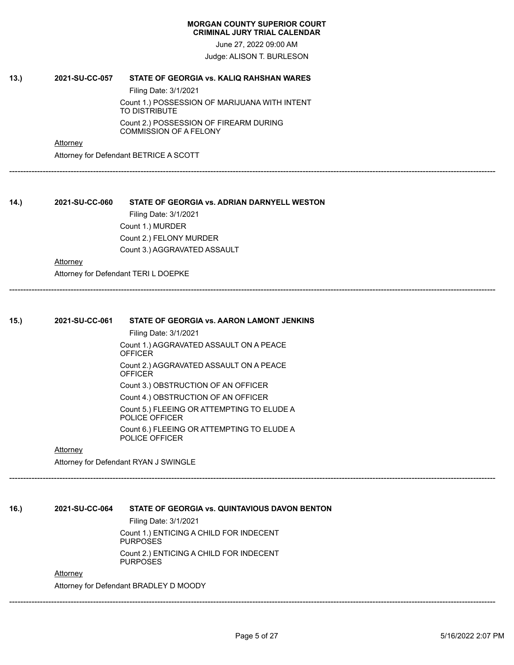June 27, 2022 09:00 AM

Judge: ALISON T. BURLESON

------------------------------------------------------------------------------------------------------------------------------------------------------------------------------

------------------------------------------------------------------------------------------------------------------------------------------------------------------------------

# **13.) 2021-SU-CC-057 STATE OF GEORGIA vs. KALIQ RAHSHAN WARES** Filing Date: 3/1/2021

Count 1.) POSSESSION OF MARIJUANA WITH INTENT TO DISTRIBUTE Count 2.) POSSESSION OF FIREARM DURING COMMISSION OF A FELONY

**Attorney** 

Attorney for Defendant BETRICE A SCOTT

**14.) 2021-SU-CC-060 STATE OF GEORGIA vs. ADRIAN DARNYELL WESTON** Filing Date: 3/1/2021 Count 1.) MURDER Count 2.) FELONY MURDER Count 3.) AGGRAVATED ASSAULT

**Attorney** 

Attorney for Defendant TERI L DOEPKE

| 15. | 2021-SU-CC-061  | STATE OF GEORGIA vs. AARON LAMONT JENKINS                    |
|-----|-----------------|--------------------------------------------------------------|
|     |                 | Filing Date: 3/1/2021                                        |
|     |                 | Count 1.) AGGRAVATED ASSAULT ON A PEACE<br><b>OFFICER</b>    |
|     |                 | Count 2.) AGGRAVATED ASSAULT ON A PEACE<br>OFFICER           |
|     |                 | Count 3.) OBSTRUCTION OF AN OFFICER                          |
|     |                 | Count 4.) OBSTRUCTION OF AN OFFICER                          |
|     |                 | Count 5.) FLEEING OR ATTEMPTING TO ELUDE A<br>POLICE OFFICER |
|     |                 | Count 6.) FLEEING OR ATTEMPTING TO ELUDE A<br>POLICE OFFICER |
|     | <b>Attorney</b> |                                                              |
|     |                 | Attorney for Defendant RYAN J SWINGLE                        |
|     |                 |                                                              |
|     |                 |                                                              |
| 16. | 2021-SU-CC-064  | STATE OF GEORGIA vs. QUINTAVIOUS DAVON BENTON                |
|     |                 | Filing Date: 3/1/2021                                        |
|     |                 | Count 1.) ENTICING A CHILD FOR INDECENT<br><b>PURPOSES</b>   |
|     |                 | Count 2.) ENTICING A CHILD FOR INDECENT<br><b>PURPOSES</b>   |
|     | Attorney        |                                                              |
|     |                 | Attorney for Defendant BRADLEY D MOODY                       |
|     |                 |                                                              |
|     |                 |                                                              |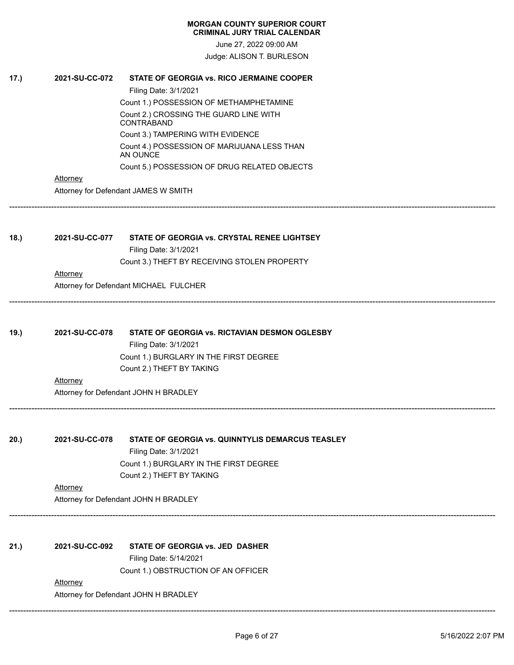June 27, 2022 09:00 AM Judge: ALISON T. BURLESON

| 17.) | 2021-SU-CC-072  | STATE OF GEORGIA vs. RICO JERMAINE COOPER                             |
|------|-----------------|-----------------------------------------------------------------------|
|      |                 | Filing Date: 3/1/2021                                                 |
|      |                 | Count 1.) POSSESSION OF METHAMPHETAMINE                               |
|      |                 | Count 2.) CROSSING THE GUARD LINE WITH<br><b>CONTRABAND</b>           |
|      |                 | Count 3.) TAMPERING WITH EVIDENCE                                     |
|      |                 | Count 4.) POSSESSION OF MARIJUANA LESS THAN<br>AN OUNCE               |
|      |                 | Count 5.) POSSESSION OF DRUG RELATED OBJECTS                          |
|      | Attorney        |                                                                       |
|      |                 | Attorney for Defendant JAMES W SMITH                                  |
|      |                 |                                                                       |
| 18.) | 2021-SU-CC-077  | STATE OF GEORGIA vs. CRYSTAL RENEE LIGHTSEY                           |
|      |                 | Filing Date: 3/1/2021<br>Count 3.) THEFT BY RECEIVING STOLEN PROPERTY |
|      | <b>Attorney</b> |                                                                       |
|      |                 | Attorney for Defendant MICHAEL FULCHER                                |
|      |                 |                                                                       |
| 19.) | 2021-SU-CC-078  | STATE OF GEORGIA vs. RICTAVIAN DESMON OGLESBY                         |
|      |                 | Filing Date: 3/1/2021                                                 |
|      |                 | Count 1.) BURGLARY IN THE FIRST DEGREE                                |
|      |                 | Count 2.) THEFT BY TAKING                                             |
|      | <b>Attorney</b> |                                                                       |
|      |                 | Attorney for Defendant JOHN H BRADLEY                                 |
|      |                 |                                                                       |
| 20.) | 2021-SU-CC-078  | STATE OF GEORGIA vs. QUINNTYLIS DEMARCUS TEASLEY                      |
|      |                 | Filing Date: 3/1/2021                                                 |
|      |                 | Count 1.) BURGLARY IN THE FIRST DEGREE                                |
|      |                 | Count 2.) THEFT BY TAKING                                             |
|      | Attorney        |                                                                       |
|      |                 | Attorney for Defendant JOHN H BRADLEY                                 |
|      |                 |                                                                       |
| 21.) | 2021-SU-CC-092  | STATE OF GEORGIA vs. JED DASHER                                       |
|      |                 | Filing Date: 5/14/2021<br>Count 1.) OBSTRUCTION OF AN OFFICER         |
|      | Attorney        |                                                                       |
|      |                 | Attorney for Defendant JOHN H BRADLEY                                 |
|      |                 |                                                                       |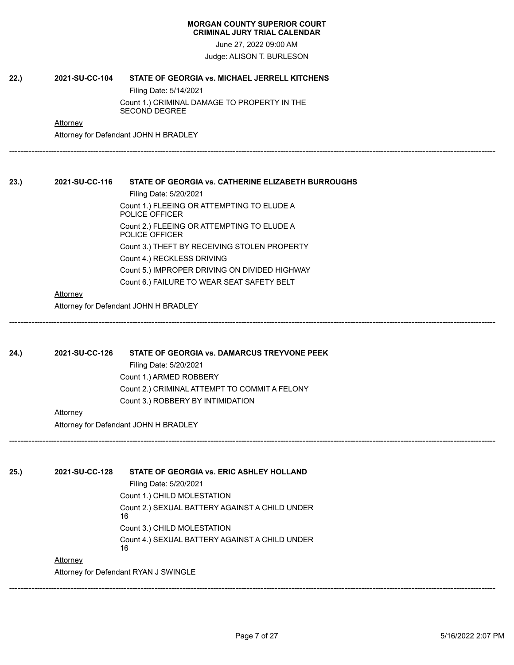June 27, 2022 09:00 AM

Judge: ALISON T. BURLESON

------------------------------------------------------------------------------------------------------------------------------------------------------------------------------

------------------------------------------------------------------------------------------------------------------------------------------------------------------------------

------------------------------------------------------------------------------------------------------------------------------------------------------------------------------

# **22.) 2021-SU-CC-104 STATE OF GEORGIA vs. MICHAEL JERRELL KITCHENS**

Filing Date: 5/14/2021 Count 1.) CRIMINAL DAMAGE TO PROPERTY IN THE SECOND DEGREE

**Attorney** 

Attorney for Defendant JOHN H BRADLEY

# **23.) 2021-SU-CC-116 STATE OF GEORGIA vs. CATHERINE ELIZABETH BURROUGHS**

Filing Date: 5/20/2021 Count 1.) FLEEING OR ATTEMPTING TO ELUDE A POLICE OFFICER Count 2.) FLEEING OR ATTEMPTING TO ELUDE A POLICE OFFICER Count 3.) THEFT BY RECEIVING STOLEN PROPERTY Count 4.) RECKLESS DRIVING Count 5.) IMPROPER DRIVING ON DIVIDED HIGHWAY Count 6.) FAILURE TO WEAR SEAT SAFETY BELT

# Attorney

Attorney for Defendant JOHN H BRADLEY

# **24.) 2021-SU-CC-126 STATE OF GEORGIA vs. DAMARCUS TREYVONE PEEK**

Filing Date: 5/20/2021 Count 1.) ARMED ROBBERY Count 2.) CRIMINAL ATTEMPT TO COMMIT A FELONY Count 3.) ROBBERY BY INTIMIDATION

# **Attorney**

Attorney for Defendant JOHN H BRADLEY

**25.) 2021-SU-CC-128 STATE OF GEORGIA vs. ERIC ASHLEY HOLLAND**

Filing Date: 5/20/2021 Count 1.) CHILD MOLESTATION Count 2.) SEXUAL BATTERY AGAINST A CHILD UNDER 16 Count 3.) CHILD MOLESTATION Count 4.) SEXUAL BATTERY AGAINST A CHILD UNDER 16

# **Attorney**

Attorney for Defendant RYAN J SWINGLE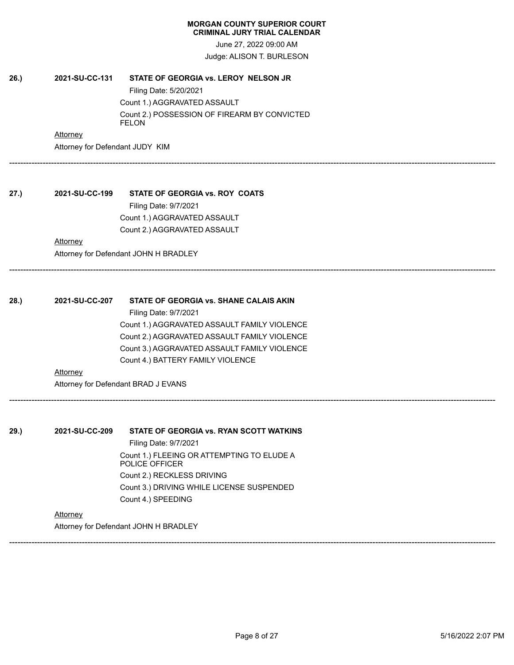June 27, 2022 09:00 AM Judge: ALISON T. BURLESON

------------------------------------------------------------------------------------------------------------------------------------------------------------------------------

------------------------------------------------------------------------------------------------------------------------------------------------------------------------------

------------------------------------------------------------------------------------------------------------------------------------------------------------------------------

# **26.) 2021-SU-CC-131 STATE OF GEORGIA vs. LEROY NELSON JR** Filing Date: 5/20/2021 Count 1.) AGGRAVATED ASSAULT Count 2.) POSSESSION OF FIREARM BY CONVICTED FELON

### **Attorney**

Attorney for Defendant JUDY KIM

# **27.) 2021-SU-CC-199 STATE OF GEORGIA vs. ROY COATS** Filing Date: 9/7/2021 Count 1.) AGGRAVATED ASSAULT Count 2.) AGGRAVATED ASSAULT

# **Attorney**

Attorney for Defendant JOHN H BRADLEY

# **28.) 2021-SU-CC-207 STATE OF GEORGIA vs. SHANE CALAIS AKIN** Filing Date: 9/7/2021 Count 1.) AGGRAVATED ASSAULT FAMILY VIOLENCE Count 2.) AGGRAVATED ASSAULT FAMILY VIOLENCE

Count 3.) AGGRAVATED ASSAULT FAMILY VIOLENCE Count 4.) BATTERY FAMILY VIOLENCE

# Attorney

Attorney for Defendant BRAD J EVANS

**29.) 2021-SU-CC-209 STATE OF GEORGIA vs. RYAN SCOTT WATKINS** Filing Date: 9/7/2021 Count 1.) FLEEING OR ATTEMPTING TO ELUDE A POLICE OFFICER Count 2.) RECKLESS DRIVING Count 3.) DRIVING WHILE LICENSE SUSPENDED

# Count 4.) SPEEDING

**Attorney** 

Attorney for Defendant JOHN H BRADLEY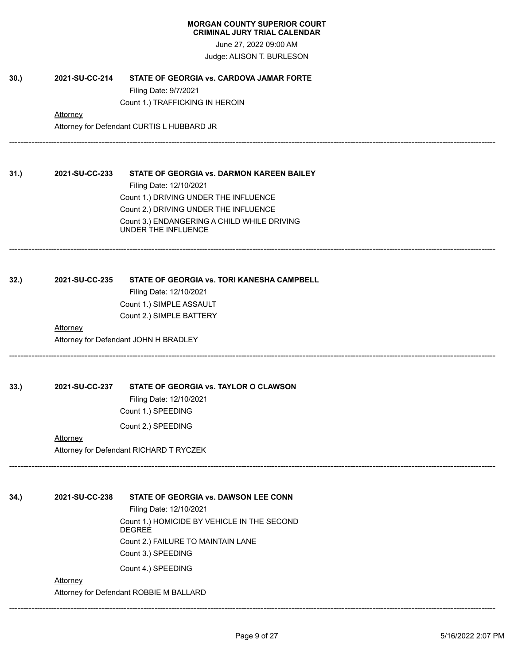June 27, 2022 09:00 AM Judge: ALISON T. BURLESON

------------------------------------------------------------------------------------------------------------------------------------------------------------------------------

------------------------------------------------------------------------------------------------------------------------------------------------------------------------------

------------------------------------------------------------------------------------------------------------------------------------------------------------------------------

------------------------------------------------------------------------------------------------------------------------------------------------------------------------------

**30.) 2021-SU-CC-214 STATE OF GEORGIA vs. CARDOVA JAMAR FORTE**

Filing Date: 9/7/2021 Count 1.) TRAFFICKING IN HEROIN

**Attorney** 

Attorney for Defendant CURTIS L HUBBARD JR

**31.) 2021-SU-CC-233 STATE OF GEORGIA vs. DARMON KAREEN BAILEY** Filing Date: 12/10/2021 Count 1.) DRIVING UNDER THE INFLUENCE Count 2.) DRIVING UNDER THE INFLUENCE Count 3.) ENDANGERING A CHILD WHILE DRIVING UNDER THE INFLUENCE

**32.) 2021-SU-CC-235 STATE OF GEORGIA vs. TORI KANESHA CAMPBELL** Filing Date: 12/10/2021 Count 1.) SIMPLE ASSAULT Count 2.) SIMPLE BATTERY

> **Attorney** Attorney for Defendant JOHN H BRADLEY

**33.) 2021-SU-CC-237 STATE OF GEORGIA vs. TAYLOR O CLAWSON**

Filing Date: 12/10/2021 Count 1.) SPEEDING

Count 2.) SPEEDING

**Attorney** Attorney for Defendant RICHARD T RYCZEK

**34.) 2021-SU-CC-238 STATE OF GEORGIA vs. DAWSON LEE CONN**

Filing Date: 12/10/2021

Count 1.) HOMICIDE BY VEHICLE IN THE SECOND DEGREE Count 2.) FAILURE TO MAINTAIN LANE Count 3.) SPEEDING Count 4.) SPEEDING

**Attorney** 

Attorney for Defendant ROBBIE M BALLARD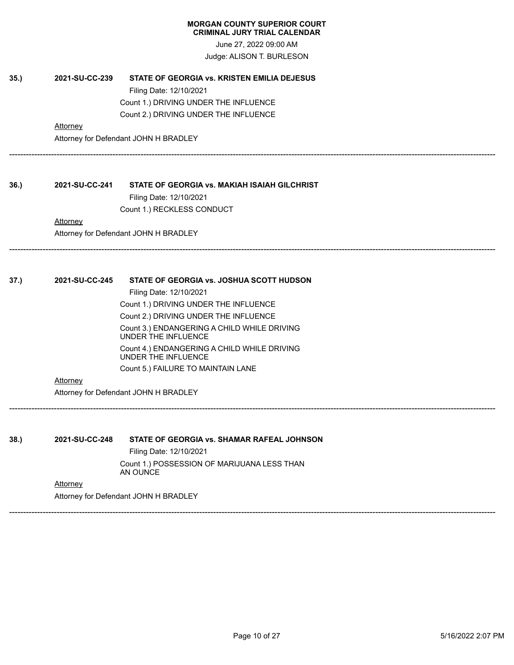June 27, 2022 09:00 AM Judge: ALISON T. BURLESON

------------------------------------------------------------------------------------------------------------------------------------------------------------------------------

------------------------------------------------------------------------------------------------------------------------------------------------------------------------------

------------------------------------------------------------------------------------------------------------------------------------------------------------------------------

------------------------------------------------------------------------------------------------------------------------------------------------------------------------------

**35.) 2021-SU-CC-239 STATE OF GEORGIA vs. KRISTEN EMILIA DEJESUS** Filing Date: 12/10/2021 Count 1.) DRIVING UNDER THE INFLUENCE Count 2.) DRIVING UNDER THE INFLUENCE

# **Attorney**

Attorney for Defendant JOHN H BRADLEY

# **36.) 2021-SU-CC-241 STATE OF GEORGIA vs. MAKIAH ISAIAH GILCHRIST**

Filing Date: 12/10/2021 Count 1.) RECKLESS CONDUCT

**Attorney** Attorney for Defendant JOHN H BRADLEY

# **37.) 2021-SU-CC-245 STATE OF GEORGIA vs. JOSHUA SCOTT HUDSON**

Filing Date: 12/10/2021 Count 1.) DRIVING UNDER THE INFLUENCE Count 2.) DRIVING UNDER THE INFLUENCE Count 3.) ENDANGERING A CHILD WHILE DRIVING UNDER THE INFLUENCE Count 4.) ENDANGERING A CHILD WHILE DRIVING UNDER THE INFLUENCE Count 5.) FAILURE TO MAINTAIN LANE

#### **Attorney**

Attorney for Defendant JOHN H BRADLEY

**38.) 2021-SU-CC-248 STATE OF GEORGIA vs. SHAMAR RAFEAL JOHNSON**

Filing Date: 12/10/2021 Count 1.) POSSESSION OF MARIJUANA LESS THAN AN OUNCE

**Attorney**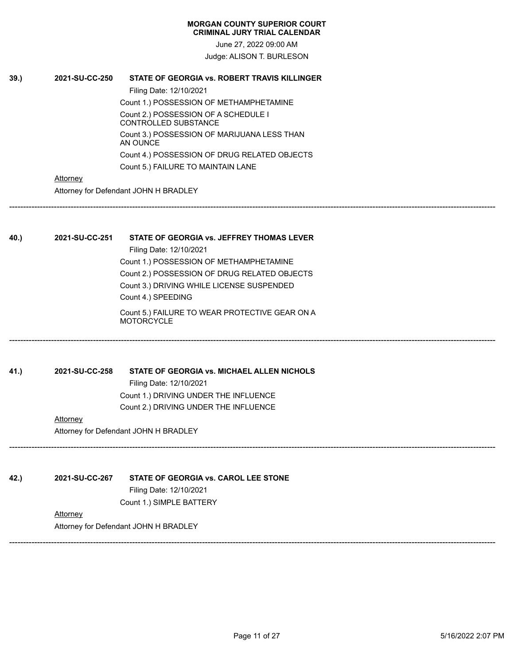June 27, 2022 09:00 AM Judge: ALISON T. BURLESON

**39.) 2021-SU-CC-250 STATE OF GEORGIA vs. ROBERT TRAVIS KILLINGER** Filing Date: 12/10/2021 Count 1.) POSSESSION OF METHAMPHETAMINE Count 2.) POSSESSION OF A SCHEDULE I CONTROLLED SUBSTANCE Count 3.) POSSESSION OF MARIJUANA LESS THAN AN OUNCE Count 4.) POSSESSION OF DRUG RELATED OBJECTS Count 5.) FAILURE TO MAINTAIN LANE

# **Attorney**

Attorney for Defendant JOHN H BRADLEY

**40.) 2021-SU-CC-251 STATE OF GEORGIA vs. JEFFREY THOMAS LEVER** Filing Date: 12/10/2021 Count 1.) POSSESSION OF METHAMPHETAMINE Count 2.) POSSESSION OF DRUG RELATED OBJECTS Count 3.) DRIVING WHILE LICENSE SUSPENDED Count 4.) SPEEDING Count 5.) FAILURE TO WEAR PROTECTIVE GEAR ON A **MOTORCYCLE** ------------------------------------------------------------------------------------------------------------------------------------------------------------------------------

------------------------------------------------------------------------------------------------------------------------------------------------------------------------------

------------------------------------------------------------------------------------------------------------------------------------------------------------------------------

------------------------------------------------------------------------------------------------------------------------------------------------------------------------------

**41.) 2021-SU-CC-258 STATE OF GEORGIA vs. MICHAEL ALLEN NICHOLS** Filing Date: 12/10/2021 Count 1.) DRIVING UNDER THE INFLUENCE Count 2.) DRIVING UNDER THE INFLUENCE

# **Attorney**

Attorney for Defendant JOHN H BRADLEY

**42.) 2021-SU-CC-267 STATE OF GEORGIA vs. CAROL LEE STONE**

Filing Date: 12/10/2021 Count 1.) SIMPLE BATTERY

# **Attorney**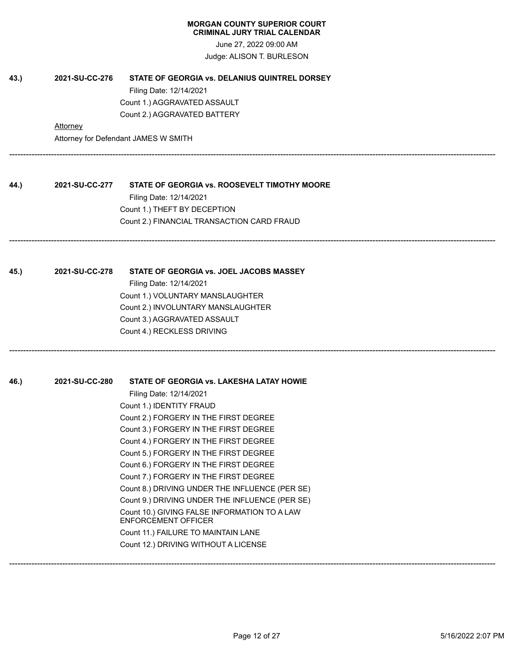June 27, 2022 09:00 AM Judge: ALISON T. BURLESON

| 43.) | 2021-SU-CC-276 | STATE OF GEORGIA vs. DELANIUS QUINTREL DORSEY                              |
|------|----------------|----------------------------------------------------------------------------|
|      |                | Filing Date: 12/14/2021                                                    |
|      |                | Count 1.) AGGRAVATED ASSAULT                                               |
|      |                | Count 2.) AGGRAVATED BATTERY                                               |
|      | Attorney       |                                                                            |
|      |                | Attorney for Defendant JAMES W SMITH                                       |
|      |                |                                                                            |
| 44.) | 2021-SU-CC-277 | STATE OF GEORGIA vs. ROOSEVELT TIMOTHY MOORE                               |
|      |                | Filing Date: 12/14/2021                                                    |
|      |                | Count 1.) THEFT BY DECEPTION                                               |
|      |                | Count 2.) FINANCIAL TRANSACTION CARD FRAUD                                 |
|      |                |                                                                            |
| 45.) | 2021-SU-CC-278 | STATE OF GEORGIA vs. JOEL JACOBS MASSEY                                    |
|      |                | Filing Date: 12/14/2021                                                    |
|      |                | Count 1.) VOLUNTARY MANSLAUGHTER                                           |
|      |                | Count 2.) INVOLUNTARY MANSLAUGHTER                                         |
|      |                | Count 3.) AGGRAVATED ASSAULT                                               |
|      |                | Count 4.) RECKLESS DRIVING                                                 |
| 46.) | 2021-SU-CC-280 | STATE OF GEORGIA vs. LAKESHA LATAY HOWIE                                   |
|      |                | Filing Date: 12/14/2021                                                    |
|      |                | Count 1.) IDENTITY FRAUD                                                   |
|      |                | Count 2.) FORGERY IN THE FIRST DEGREE                                      |
|      |                | Count 3.) FORGERY IN THE FIRST DEGREE                                      |
|      |                | Count 4.) FORGERY IN THE FIRST DEGREE                                      |
|      |                | Count 5.) FORGERY IN THE FIRST DEGREE                                      |
|      |                | Count 6.) FORGERY IN THE FIRST DEGREE                                      |
|      |                | Count 7.) FORGERY IN THE FIRST DEGREE                                      |
|      |                | Count 8.) DRIVING UNDER THE INFLUENCE (PER SE)                             |
|      |                | Count 9.) DRIVING UNDER THE INFLUENCE (PER SE)                             |
|      |                | Count 10.) GIVING FALSE INFORMATION TO A LAW<br><b>ENFORCEMENT OFFICER</b> |
|      |                | Count 11.) FAILURE TO MAINTAIN LANE                                        |
|      |                | Count 12.) DRIVING WITHOUT A LICENSE                                       |
|      |                |                                                                            |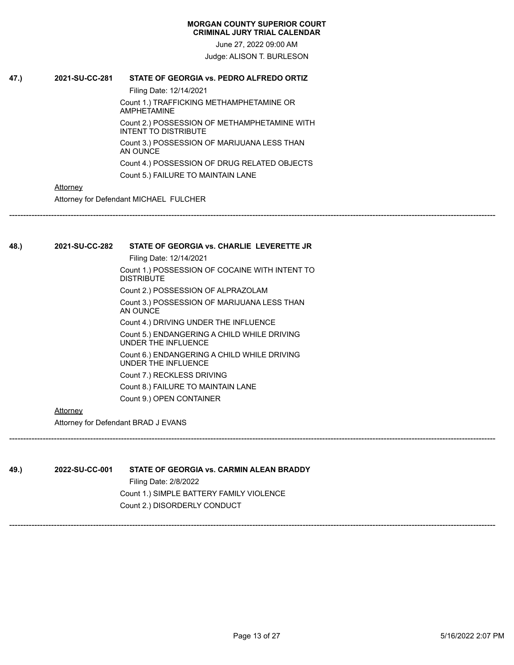June 27, 2022 09:00 AM Judge: ALISON T. BURLESON

------------------------------------------------------------------------------------------------------------------------------------------------------------------------------

# **47.) 2021-SU-CC-281 STATE OF GEORGIA vs. PEDRO ALFREDO ORTIZ**

Filing Date: 12/14/2021 Count 1.) TRAFFICKING METHAMPHETAMINE OR AMPHETAMINE Count 2.) POSSESSION OF METHAMPHETAMINE WITH INTENT TO DISTRIBUTE Count 3.) POSSESSION OF MARIJUANA LESS THAN AN OUNCE Count 4.) POSSESSION OF DRUG RELATED OBJECTS Count 5.) FAILURE TO MAINTAIN LANE

# **Attorney**

Attorney for Defendant MICHAEL FULCHER

**48.) 2021-SU-CC-282 STATE OF GEORGIA vs. CHARLIE LEVERETTE JR** Filing Date: 12/14/2021 Count 1.) POSSESSION OF COCAINE WITH INTENT TO **DISTRIBUTE** 

> Count 2.) POSSESSION OF ALPRAZOLAM Count 3.) POSSESSION OF MARIJUANA LESS THAN AN OUNCE Count 4.) DRIVING UNDER THE INFLUENCE Count 5.) ENDANGERING A CHILD WHILE DRIVING UNDER THE INFLUENCE Count 6.) ENDANGERING A CHILD WHILE DRIVING UNDER THE INFLUENCE Count 7.) RECKLESS DRIVING

Count 8.) FAILURE TO MAINTAIN LANE

Count 9.) OPEN CONTAINER

# **Attorney**

Attorney for Defendant BRAD J EVANS

**49.) 2022-SU-CC-001 STATE OF GEORGIA vs. CARMIN ALEAN BRADDY** Filing Date: 2/8/2022 Count 1.) SIMPLE BATTERY FAMILY VIOLENCE Count 2.) DISORDERLY CONDUCT

------------------------------------------------------------------------------------------------------------------------------------------------------------------------------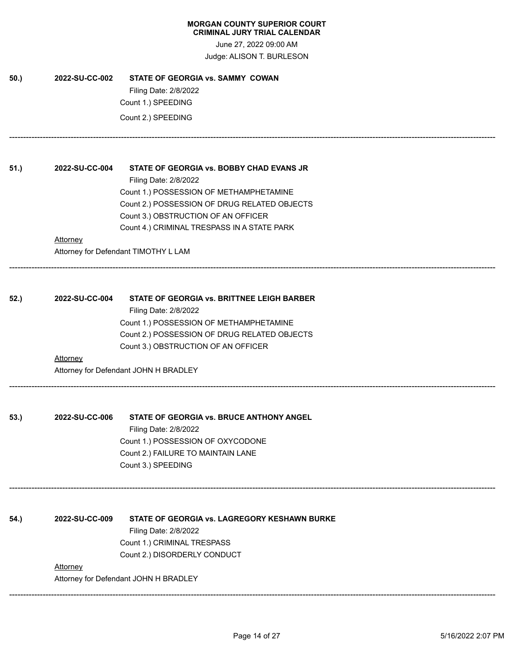June 27, 2022 09:00 AM Judge: ALISON T. BURLESON

------------------------------------------------------------------------------------------------------------------------------------------------------------------------------

------------------------------------------------------------------------------------------------------------------------------------------------------------------------------

------------------------------------------------------------------------------------------------------------------------------------------------------------------------------

------------------------------------------------------------------------------------------------------------------------------------------------------------------------------

**50.) 2022-SU-CC-002 STATE OF GEORGIA vs. SAMMY COWAN** Filing Date: 2/8/2022 Count 1.) SPEEDING Count 2.) SPEEDING

**51.) 2022-SU-CC-004 STATE OF GEORGIA vs. BOBBY CHAD EVANS JR** Filing Date: 2/8/2022 Count 1.) POSSESSION OF METHAMPHETAMINE Count 2.) POSSESSION OF DRUG RELATED OBJECTS Count 3.) OBSTRUCTION OF AN OFFICER Count 4.) CRIMINAL TRESPASS IN A STATE PARK **Attorney** 

Attorney for Defendant TIMOTHY L LAM

**52.) 2022-SU-CC-004 STATE OF GEORGIA vs. BRITTNEE LEIGH BARBER** Filing Date: 2/8/2022 Count 1.) POSSESSION OF METHAMPHETAMINE Count 2.) POSSESSION OF DRUG RELATED OBJECTS Count 3.) OBSTRUCTION OF AN OFFICER **Attorney** 

Attorney for Defendant JOHN H BRADLEY

**53.) 2022-SU-CC-006 STATE OF GEORGIA vs. BRUCE ANTHONY ANGEL** Filing Date: 2/8/2022 Count 1.) POSSESSION OF OXYCODONE Count 2.) FAILURE TO MAINTAIN LANE Count 3.) SPEEDING

**54.) 2022-SU-CC-009 STATE OF GEORGIA vs. LAGREGORY KESHAWN BURKE** Filing Date: 2/8/2022 Count 1.) CRIMINAL TRESPASS Count 2.) DISORDERLY CONDUCT **Attorney** 

Attorney for Defendant JOHN H BRADLEY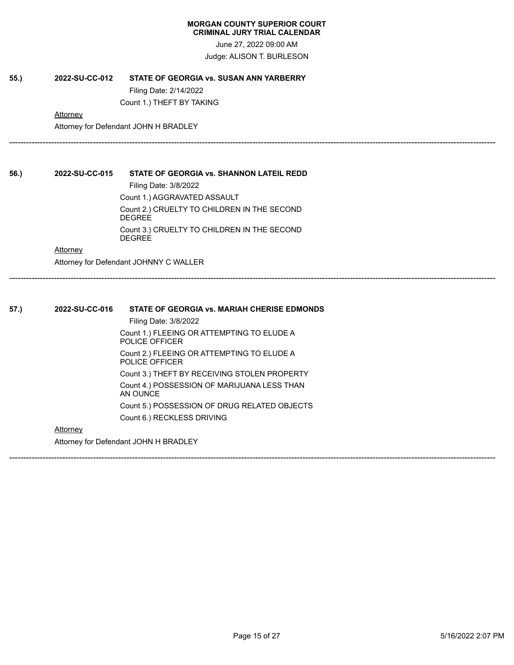June 27, 2022 09:00 AM Judge: ALISON T. BURLESON

------------------------------------------------------------------------------------------------------------------------------------------------------------------------------

------------------------------------------------------------------------------------------------------------------------------------------------------------------------------

------------------------------------------------------------------------------------------------------------------------------------------------------------------------------

**55.) 2022-SU-CC-012 STATE OF GEORGIA vs. SUSAN ANN YARBERRY**

Filing Date: 2/14/2022 Count 1.) THEFT BY TAKING

**Attorney** 

Attorney for Defendant JOHN H BRADLEY

**56.) 2022-SU-CC-015 STATE OF GEORGIA vs. SHANNON LATEIL REDD** Filing Date: 3/8/2022 Count 1.) AGGRAVATED ASSAULT Count 2.) CRUELTY TO CHILDREN IN THE SECOND **DEGREE** Count 3.) CRUELTY TO CHILDREN IN THE SECOND **DEGREE** 

**Attorney** 

Attorney for Defendant JOHNNY C WALLER

**57.) 2022-SU-CC-016 STATE OF GEORGIA vs. MARIAH CHERISE EDMONDS** Filing Date: 3/8/2022 Count 1.) FLEEING OR ATTEMPTING TO ELUDE A POLICE OFFICER Count 2.) FLEEING OR ATTEMPTING TO ELUDE A POLICE OFFICER Count 3.) THEFT BY RECEIVING STOLEN PROPERTY Count 4.) POSSESSION OF MARIJUANA LESS THAN AN OUNCE Count 5.) POSSESSION OF DRUG RELATED OBJECTS Count 6.) RECKLESS DRIVING **Attorney** Attorney for Defendant JOHN H BRADLEY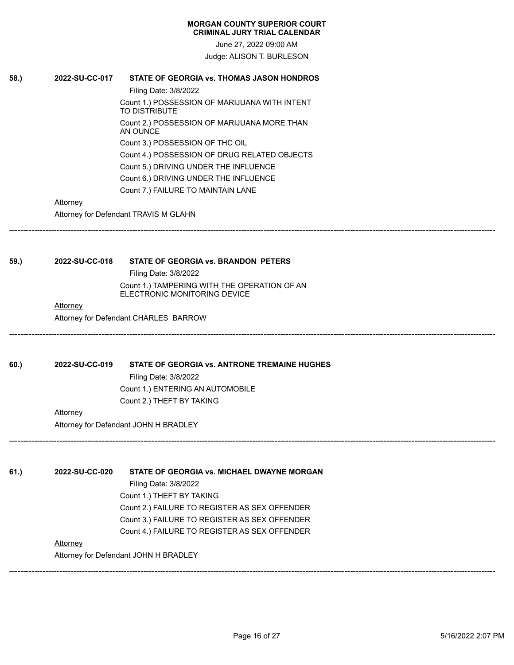June 27, 2022 09:00 AM Judge: ALISON T. BURLESON

------------------------------------------------------------------------------------------------------------------------------------------------------------------------------

------------------------------------------------------------------------------------------------------------------------------------------------------------------------------

------------------------------------------------------------------------------------------------------------------------------------------------------------------------------

# **58.) 2022-SU-CC-017 STATE OF GEORGIA vs. THOMAS JASON HONDROS**

Filing Date: 3/8/2022 Count 1.) POSSESSION OF MARIJUANA WITH INTENT TO DISTRIBUTE Count 2.) POSSESSION OF MARIJUANA MORE THAN AN OUNCE Count 3.) POSSESSION OF THC OIL Count 4.) POSSESSION OF DRUG RELATED OBJECTS Count 5.) DRIVING UNDER THE INFLUENCE Count 6.) DRIVING UNDER THE INFLUENCE Count 7.) FAILURE TO MAINTAIN LANE

# **Attorney**

Attorney for Defendant TRAVIS M GLAHN

# **59.) 2022-SU-CC-018 STATE OF GEORGIA vs. BRANDON PETERS**

Filing Date: 3/8/2022

Count 1.) TAMPERING WITH THE OPERATION OF AN ELECTRONIC MONITORING DEVICE

### **Attorney**

Attorney for Defendant CHARLES BARROW

# **60.) 2022-SU-CC-019 STATE OF GEORGIA vs. ANTRONE TREMAINE HUGHES**

Filing Date: 3/8/2022 Count 1.) ENTERING AN AUTOMOBILE Count 2.) THEFT BY TAKING

#### **Attorney**

Attorney for Defendant JOHN H BRADLEY

**61.) 2022-SU-CC-020 STATE OF GEORGIA vs. MICHAEL DWAYNE MORGAN** Filing Date: 3/8/2022 Count 1.) THEFT BY TAKING Count 2.) FAILURE TO REGISTER AS SEX OFFENDER Count 3.) FAILURE TO REGISTER AS SEX OFFENDER Count 4.) FAILURE TO REGISTER AS SEX OFFENDER **Attorney** 

Attorney for Defendant JOHN H BRADLEY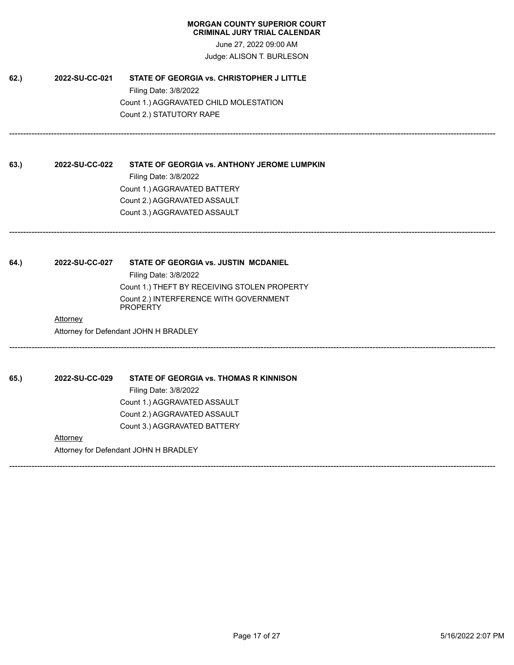June 27, 2022 09:00 AM Judge: ALISON T. BURLESON

------------------------------------------------------------------------------------------------------------------------------------------------------------------------------

------------------------------------------------------------------------------------------------------------------------------------------------------------------------------

------------------------------------------------------------------------------------------------------------------------------------------------------------------------------

------------------------------------------------------------------------------------------------------------------------------------------------------------------------------

**62.) 2022-SU-CC-021 STATE OF GEORGIA vs. CHRISTOPHER J LITTLE** Filing Date: 3/8/2022 Count 1.) AGGRAVATED CHILD MOLESTATION Count 2.) STATUTORY RAPE

**63.) 2022-SU-CC-022 STATE OF GEORGIA vs. ANTHONY JEROME LUMPKIN** Filing Date: 3/8/2022 Count 1.) AGGRAVATED BATTERY Count 2.) AGGRAVATED ASSAULT Count 3.) AGGRAVATED ASSAULT

**64.) 2022-SU-CC-027 STATE OF GEORGIA vs. JUSTIN MCDANIEL** Filing Date: 3/8/2022 Count 1.) THEFT BY RECEIVING STOLEN PROPERTY Count 2.) INTERFERENCE WITH GOVERNMENT **PROPERTY** 

**Attorney** Attorney for Defendant JOHN H BRADLEY

**65.) 2022-SU-CC-029 STATE OF GEORGIA vs. THOMAS R KINNISON** Filing Date: 3/8/2022

Count 1.) AGGRAVATED ASSAULT Count 2.) AGGRAVATED ASSAULT Count 3.) AGGRAVATED BATTERY

# **Attorney**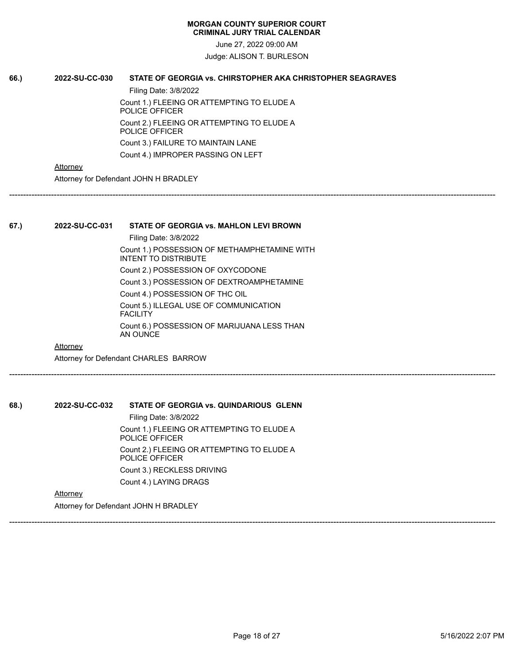June 27, 2022 09:00 AM

Judge: ALISON T. BURLESON

# **66.) 2022-SU-CC-030 STATE OF GEORGIA vs. CHIRSTOPHER AKA CHRISTOPHER SEAGRAVES**

Filing Date: 3/8/2022 Count 1.) FLEEING OR ATTEMPTING TO ELUDE A POLICE OFFICER Count 2.) FLEEING OR ATTEMPTING TO ELUDE A POLICE OFFICER Count 3.) FAILURE TO MAINTAIN LANE Count 4.) IMPROPER PASSING ON LEFT

**Attorney** 

Attorney for Defendant JOHN H BRADLEY

------------------------------------------------------------------------------------------------------------------------------------------------------------------------------

# **67.) 2022-SU-CC-031 STATE OF GEORGIA vs. MAHLON LEVI BROWN**

Filing Date: 3/8/2022 Count 1.) POSSESSION OF METHAMPHETAMINE WITH INTENT TO DISTRIBUTE Count 2.) POSSESSION OF OXYCODONE Count 3.) POSSESSION OF DEXTROAMPHETAMINE Count 4.) POSSESSION OF THC OIL Count 5.) ILLEGAL USE OF COMMUNICATION **FACILITY** Count 6.) POSSESSION OF MARIJUANA LESS THAN AN OUNCE

------------------------------------------------------------------------------------------------------------------------------------------------------------------------------

**Attorney** 

Attorney for Defendant CHARLES BARROW

**68.) 2022-SU-CC-032 STATE OF GEORGIA vs. QUINDARIOUS GLENN**

Filing Date: 3/8/2022 Count 1.) FLEEING OR ATTEMPTING TO ELUDE A POLICE OFFICER Count 2.) FLEEING OR ATTEMPTING TO ELUDE A POLICE OFFICER Count 3.) RECKLESS DRIVING Count 4.) LAYING DRAGS

**Attorney** 

Attorney for Defendant JOHN H BRADLEY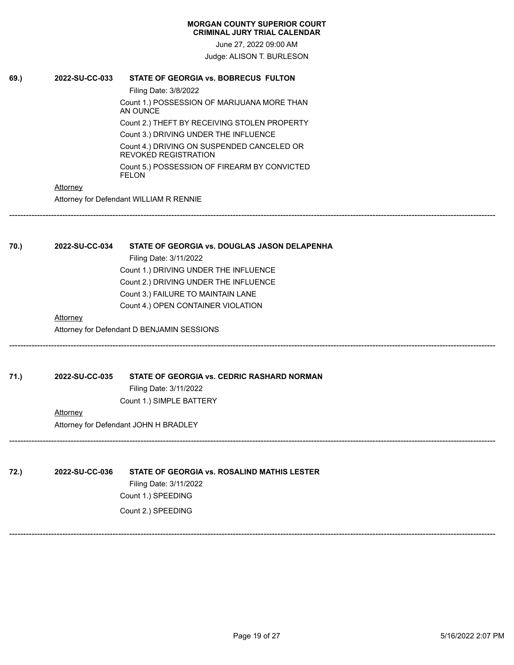June 27, 2022 09:00 AM Judge: ALISON T. BURLESON

------------------------------------------------------------------------------------------------------------------------------------------------------------------------------

------------------------------------------------------------------------------------------------------------------------------------------------------------------------------

------------------------------------------------------------------------------------------------------------------------------------------------------------------------------

------------------------------------------------------------------------------------------------------------------------------------------------------------------------------

# **69.) 2022-SU-CC-033 STATE OF GEORGIA vs. BOBRECUS FULTON**

Filing Date: 3/8/2022 Count 1.) POSSESSION OF MARIJUANA MORE THAN AN OUNCE Count 2.) THEFT BY RECEIVING STOLEN PROPERTY Count 3.) DRIVING UNDER THE INFLUENCE Count 4.) DRIVING ON SUSPENDED CANCELED OR REVOKED REGISTRATION Count 5.) POSSESSION OF FIREARM BY CONVICTED FELON

# **Attorney**

Attorney for Defendant WILLIAM R RENNIE

# **70.) 2022-SU-CC-034 STATE OF GEORGIA vs. DOUGLAS JASON DELAPENHA** Filing Date: 3/11/2022 Count 1.) DRIVING UNDER THE INFLUENCE Count 2.) DRIVING UNDER THE INFLUENCE Count 3.) FAILURE TO MAINTAIN LANE

Count 4.) OPEN CONTAINER VIOLATION

# **Attorney**

Attorney for Defendant D BENJAMIN SESSIONS

**71.) 2022-SU-CC-035 STATE OF GEORGIA vs. CEDRIC RASHARD NORMAN**

Filing Date: 3/11/2022 Count 1.) SIMPLE BATTERY

**Attorney** 

Attorney for Defendant JOHN H BRADLEY

**72.) 2022-SU-CC-036 STATE OF GEORGIA vs. ROSALIND MATHIS LESTER** Filing Date: 3/11/2022 Count 1.) SPEEDING Count 2.) SPEEDING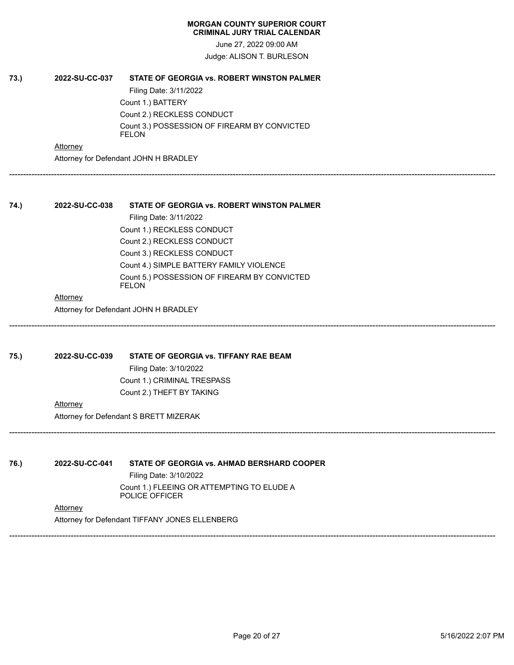June 27, 2022 09:00 AM Judge: ALISON T. BURLESON

------------------------------------------------------------------------------------------------------------------------------------------------------------------------------

------------------------------------------------------------------------------------------------------------------------------------------------------------------------------

------------------------------------------------------------------------------------------------------------------------------------------------------------------------------

------------------------------------------------------------------------------------------------------------------------------------------------------------------------------

# **73.) 2022-SU-CC-037 STATE OF GEORGIA vs. ROBERT WINSTON PALMER** Filing Date: 3/11/2022 Count 1.) BATTERY Count 2.) RECKLESS CONDUCT Count 3.) POSSESSION OF FIREARM BY CONVICTED FELON

**Attorney** 

Attorney for Defendant JOHN H BRADLEY

# **74.) 2022-SU-CC-038 STATE OF GEORGIA vs. ROBERT WINSTON PALMER**

Filing Date: 3/11/2022 Count 1.) RECKLESS CONDUCT Count 2.) RECKLESS CONDUCT Count 3.) RECKLESS CONDUCT Count 4.) SIMPLE BATTERY FAMILY VIOLENCE Count 5.) POSSESSION OF FIREARM BY CONVICTED FELON

### **Attorney**

Attorney for Defendant JOHN H BRADLEY

# **75.) 2022-SU-CC-039 STATE OF GEORGIA vs. TIFFANY RAE BEAM**

Filing Date: 3/10/2022 Count 1.) CRIMINAL TRESPASS Count 2.) THEFT BY TAKING

#### **Attorney**

Attorney for Defendant S BRETT MIZERAK

# **76.) 2022-SU-CC-041 STATE OF GEORGIA vs. AHMAD BERSHARD COOPER**

Filing Date: 3/10/2022

Count 1.) FLEEING OR ATTEMPTING TO ELUDE A POLICE OFFICER

# **Attorney**

Attorney for Defendant TIFFANY JONES ELLENBERG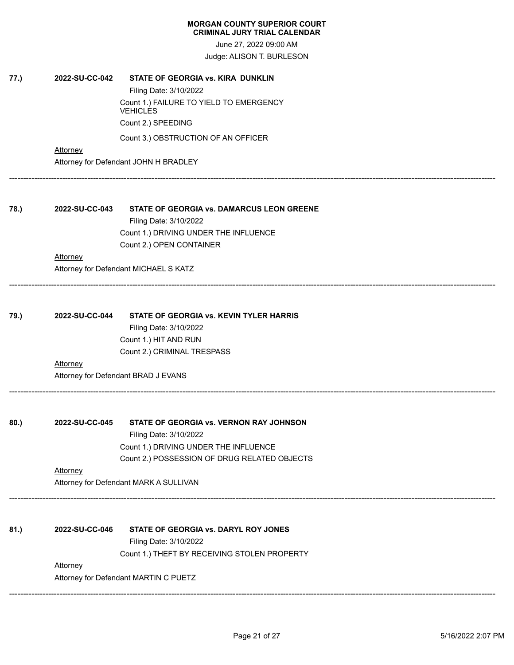June 27, 2022 09:00 AM Judge: ALISON T. BURLESON

**77.) 2022-SU-CC-042 STATE OF GEORGIA vs. KIRA DUNKLIN**

|      |                 | Filing Date: 3/10/2022                           |
|------|-----------------|--------------------------------------------------|
|      |                 | Count 1.) FAILURE TO YIELD TO EMERGENCY          |
|      |                 | <b>VEHICLES</b>                                  |
|      |                 | Count 2.) SPEEDING                               |
|      |                 | Count 3.) OBSTRUCTION OF AN OFFICER              |
|      | <b>Attorney</b> |                                                  |
|      |                 | Attorney for Defendant JOHN H BRADLEY            |
|      |                 |                                                  |
| 78.) | 2022-SU-CC-043  | <b>STATE OF GEORGIA vs. DAMARCUS LEON GREENE</b> |
|      |                 | Filing Date: 3/10/2022                           |
|      |                 | Count 1.) DRIVING UNDER THE INFLUENCE            |
|      |                 | Count 2.) OPEN CONTAINER                         |
|      | <b>Attorney</b> |                                                  |
|      |                 | Attorney for Defendant MICHAEL S KATZ            |
|      |                 |                                                  |
| 79.) | 2022-SU-CC-044  | STATE OF GEORGIA vs. KEVIN TYLER HARRIS          |
|      |                 | Filing Date: 3/10/2022                           |
|      |                 | Count 1.) HIT AND RUN                            |
|      |                 | Count 2.) CRIMINAL TRESPASS                      |
|      | Attorney        |                                                  |
|      |                 | Attorney for Defendant BRAD J EVANS              |
|      |                 |                                                  |
| 80.) | 2022-SU-CC-045  | STATE OF GEORGIA vs. VERNON RAY JOHNSON          |
|      |                 | Filing Date: 3/10/2022                           |
|      |                 | Count 1.) DRIVING UNDER THE INFLUENCE            |
|      |                 | Count 2.) POSSESSION OF DRUG RELATED OBJECTS     |
|      | Attorney        |                                                  |
|      |                 | Attorney for Defendant MARK A SULLIVAN           |
| 81.) | 2022-SU-CC-046  | STATE OF GEORGIA vs. DARYL ROY JONES             |
|      |                 |                                                  |
|      |                 | Filing Date: 3/10/2022                           |
|      |                 | Count 1.) THEFT BY RECEIVING STOLEN PROPERTY     |
|      | Attorney        |                                                  |
|      |                 | Attorney for Defendant MARTIN C PUETZ            |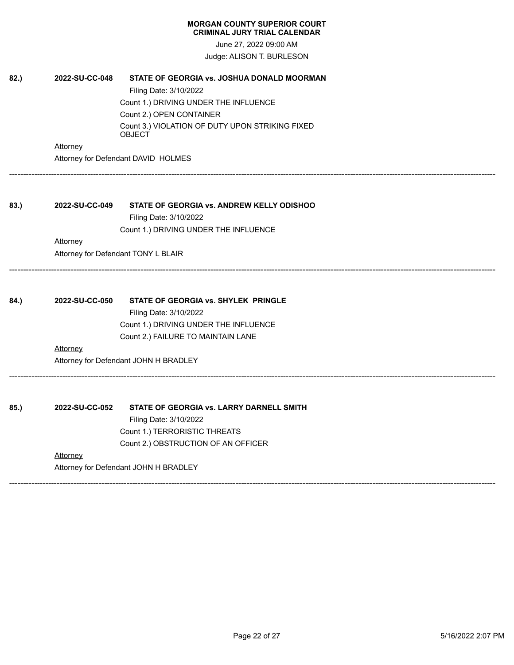June 27, 2022 09:00 AM Judge: ALISON T. BURLESON

------------------------------------------------------------------------------------------------------------------------------------------------------------------------------

------------------------------------------------------------------------------------------------------------------------------------------------------------------------------

------------------------------------------------------------------------------------------------------------------------------------------------------------------------------

------------------------------------------------------------------------------------------------------------------------------------------------------------------------------

| 82.) | 2022-SU-CC-048 | STATE OF GEORGIA vs. JOSHUA DONALD MOORMAN                |
|------|----------------|-----------------------------------------------------------|
|      |                | Filing Date: 3/10/2022                                    |
|      |                | Count 1.) DRIVING UNDER THE INFLUENCE                     |
|      |                | Count 2.) OPEN CONTAINER                                  |
|      |                | Count 3.) VIOLATION OF DUTY UPON STRIKING FIXED<br>OBJECT |
|      | Attorney       |                                                           |

Attorney for Defendant DAVID HOLMES

**83.) 2022-SU-CC-049 STATE OF GEORGIA vs. ANDREW KELLY ODISHOO** Filing Date: 3/10/2022

Count 1.) DRIVING UNDER THE INFLUENCE

# **Attorney**

Attorney for Defendant TONY L BLAIR

| 84.) | 2022-SU-CC-050 | <b>STATE OF GEORGIA vs. SHYLEK PRINGLE</b> |
|------|----------------|--------------------------------------------|
|      |                |                                            |

Filing Date: 3/10/2022 Count 1.) DRIVING UNDER THE INFLUENCE Count 2.) FAILURE TO MAINTAIN LANE

# **Attorney**

Attorney for Defendant JOHN H BRADLEY

**85.) 2022-SU-CC-052 STATE OF GEORGIA vs. LARRY DARNELL SMITH** Filing Date: 3/10/2022 Count 1.) TERRORISTIC THREATS Count 2.) OBSTRUCTION OF AN OFFICER

# **Attorney**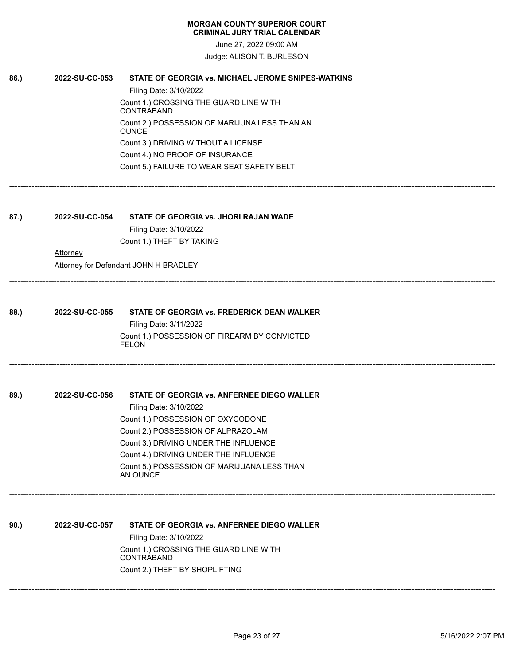| <b>MORGAN COUNTY SUPERIOR COURT</b> |  |
|-------------------------------------|--|
| <b>CRIMINAL JURY TRIAL CALENDAR</b> |  |

June 27, 2022 09:00 AM Judge: ALISON T. BURLESON

| 86.) | 2022-SU-CC-053 | STATE OF GEORGIA vs. MICHAEL JEROME SNIPES-WATKINS            |
|------|----------------|---------------------------------------------------------------|
|      |                | Filing Date: 3/10/2022                                        |
|      |                | Count 1.) CROSSING THE GUARD LINE WITH<br>CONTRABAND          |
|      |                | Count 2.) POSSESSION OF MARIJUNA LESS THAN AN<br><b>OUNCE</b> |
|      |                | Count 3.) DRIVING WITHOUT A LICENSE                           |
|      |                | Count 4.) NO PROOF OF INSURANCE                               |
|      |                | Count 5.) FAILURE TO WEAR SEAT SAFETY BELT                    |
| 87.) | 2022-SU-CC-054 | STATE OF GEORGIA vs. JHORI RAJAN WADE                         |
|      |                | Filing Date: 3/10/2022                                        |
|      |                | Count 1.) THEFT BY TAKING                                     |
|      | Attorney       |                                                               |
|      |                | Attorney for Defendant JOHN H BRADLEY                         |
|      |                |                                                               |
| 88.) | 2022-SU-CC-055 | STATE OF GEORGIA vs. FREDERICK DEAN WALKER                    |
|      |                | Filing Date: 3/11/2022                                        |
|      |                | Count 1.) POSSESSION OF FIREARM BY CONVICTED<br><b>FELON</b>  |
|      |                |                                                               |
| 89.) | 2022-SU-CC-056 | STATE OF GEORGIA vs. ANFERNEE DIEGO WALLER                    |
|      |                | Filing Date: 3/10/2022                                        |
|      |                | Count 1.) POSSESSION OF OXYCODONE                             |
|      |                | Count 2.) POSSESSION OF ALPRAZOLAM                            |
|      |                | Count 3.) DRIVING UNDER THE INFLUENCE                         |
|      |                | Count 4.) DRIVING UNDER THE INFLUENCE                         |
|      |                | Count 5.) POSSESSION OF MARIJUANA LESS THAN<br>AN OUNCE       |
|      |                |                                                               |
| 90.) | 2022-SU-CC-057 | STATE OF GEORGIA vs. ANFERNEE DIEGO WALLER                    |
|      |                | Filing Date: 3/10/2022                                        |
|      |                | Count 1.) CROSSING THE GUARD LINE WITH<br>CONTRABAND          |
|      |                | Count 2.) THEFT BY SHOPLIFTING                                |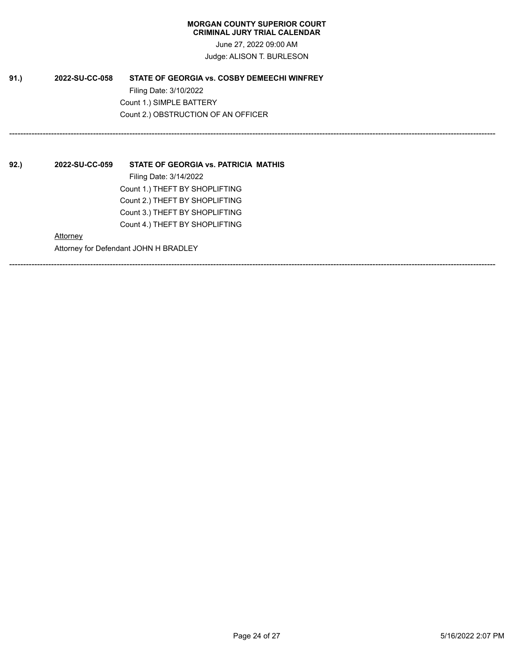June 27, 2022 09:00 AM Judge: ALISON T. BURLESON

------------------------------------------------------------------------------------------------------------------------------------------------------------------------------

------------------------------------------------------------------------------------------------------------------------------------------------------------------------------

**91.) 2022-SU-CC-058 STATE OF GEORGIA vs. COSBY DEMEECHI WINFREY** Filing Date: 3/10/2022 Count 1.) SIMPLE BATTERY Count 2.) OBSTRUCTION OF AN OFFICER

**92.) 2022-SU-CC-059 STATE OF GEORGIA vs. PATRICIA MATHIS** Filing Date: 3/14/2022 Count 1.) THEFT BY SHOPLIFTING Count 2.) THEFT BY SHOPLIFTING Count 3.) THEFT BY SHOPLIFTING Count 4.) THEFT BY SHOPLIFTING **Attorney** Attorney for Defendant JOHN H BRADLEY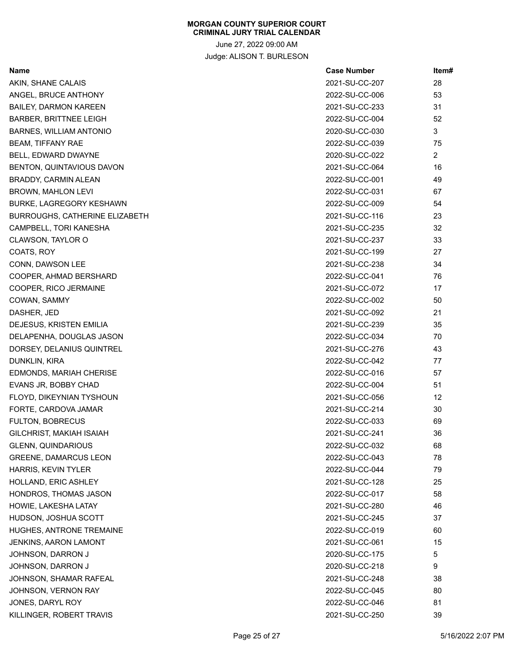June 27, 2022 09:00 AM Judge: ALISON T. BURLESON

| Name                                  | <b>Case Number</b> | ltem#          |
|---------------------------------------|--------------------|----------------|
| AKIN, SHANE CALAIS                    | 2021-SU-CC-207     | 28             |
| ANGEL, BRUCE ANTHONY                  | 2022-SU-CC-006     | 53             |
| <b>BAILEY, DARMON KAREEN</b>          | 2021-SU-CC-233     | 31             |
| <b>BARBER, BRITTNEE LEIGH</b>         | 2022-SU-CC-004     | 52             |
| BARNES, WILLIAM ANTONIO               | 2020-SU-CC-030     | 3              |
| <b>BEAM, TIFFANY RAE</b>              | 2022-SU-CC-039     | 75             |
| BELL, EDWARD DWAYNE                   | 2020-SU-CC-022     | $\overline{2}$ |
| BENTON, QUINTAVIOUS DAVON             | 2021-SU-CC-064     | 16             |
| BRADDY, CARMIN ALEAN                  | 2022-SU-CC-001     | 49             |
| BROWN, MAHLON LEVI                    | 2022-SU-CC-031     | 67             |
| BURKE, LAGREGORY KESHAWN              | 2022-SU-CC-009     | 54             |
| <b>BURROUGHS, CATHERINE ELIZABETH</b> | 2021-SU-CC-116     | 23             |
| CAMPBELL, TORI KANESHA                | 2021-SU-CC-235     | 32             |
| CLAWSON, TAYLOR O                     | 2021-SU-CC-237     | 33             |
| COATS, ROY                            | 2021-SU-CC-199     | 27             |
| CONN, DAWSON LEE                      | 2021-SU-CC-238     | 34             |
| COOPER, AHMAD BERSHARD                | 2022-SU-CC-041     | 76             |
| COOPER, RICO JERMAINE                 | 2021-SU-CC-072     | 17             |
| COWAN, SAMMY                          | 2022-SU-CC-002     | 50             |
| DASHER, JED                           | 2021-SU-CC-092     | 21             |
| DEJESUS, KRISTEN EMILIA               | 2021-SU-CC-239     | 35             |
| DELAPENHA, DOUGLAS JASON              | 2022-SU-CC-034     | 70             |
| DORSEY, DELANIUS QUINTREL             | 2021-SU-CC-276     | 43             |
| DUNKLIN, KIRA                         | 2022-SU-CC-042     | 77             |
| EDMONDS, MARIAH CHERISE               | 2022-SU-CC-016     | 57             |
| EVANS JR, BOBBY CHAD                  | 2022-SU-CC-004     | 51             |
| FLOYD, DIKEYNIAN TYSHOUN              | 2021-SU-CC-056     | 12             |
| FORTE, CARDOVA JAMAR                  | 2021-SU-CC-214     | 30             |
| FULTON, BOBRECUS                      | 2022-SU-CC-033     | 69             |
| GILCHRIST, MAKIAH ISAIAH              | 2021-SU-CC-241     | 36             |
| <b>GLENN, QUINDARIOUS</b>             | 2022-SU-CC-032     | 68             |
| <b>GREENE, DAMARCUS LEON</b>          | 2022-SU-CC-043     | 78             |
| HARRIS, KEVIN TYLER                   | 2022-SU-CC-044     | 79             |
| HOLLAND, ERIC ASHLEY                  | 2021-SU-CC-128     | 25             |
| HONDROS, THOMAS JASON                 | 2022-SU-CC-017     | 58             |
| HOWIE, LAKESHA LATAY                  | 2021-SU-CC-280     | 46             |
| HUDSON, JOSHUA SCOTT                  | 2021-SU-CC-245     | 37             |
| HUGHES, ANTRONE TREMAINE              | 2022-SU-CC-019     | 60             |
| JENKINS, AARON LAMONT                 | 2021-SU-CC-061     | 15             |
| JOHNSON, DARRON J                     | 2020-SU-CC-175     | 5              |
| JOHNSON, DARRON J                     | 2020-SU-CC-218     | 9              |
| JOHNSON, SHAMAR RAFEAL                | 2021-SU-CC-248     | 38             |
| JOHNSON, VERNON RAY                   | 2022-SU-CC-045     | 80             |
| JONES, DARYL ROY                      | 2022-SU-CC-046     | 81             |
| KILLINGER, ROBERT TRAVIS              | 2021-SU-CC-250     | 39             |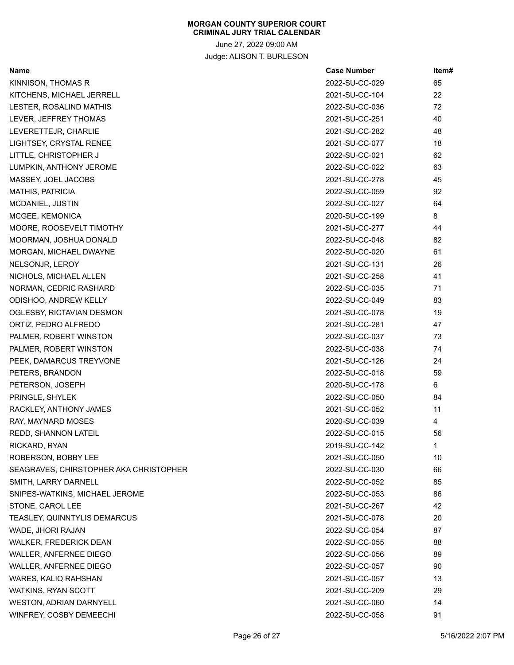June 27, 2022 09:00 AM Judge: ALISON T. BURLESON

| Name                                   | <b>Case Number</b> | Item# |
|----------------------------------------|--------------------|-------|
| KINNISON, THOMAS R                     | 2022-SU-CC-029     | 65    |
| KITCHENS, MICHAEL JERRELL              | 2021-SU-CC-104     | 22    |
| LESTER, ROSALIND MATHIS                | 2022-SU-CC-036     | 72    |
| LEVER, JEFFREY THOMAS                  | 2021-SU-CC-251     | 40    |
| LEVERETTEJR, CHARLIE                   | 2021-SU-CC-282     | 48    |
| LIGHTSEY, CRYSTAL RENEE                | 2021-SU-CC-077     | 18    |
| LITTLE, CHRISTOPHER J                  | 2022-SU-CC-021     | 62    |
| LUMPKIN, ANTHONY JEROME                | 2022-SU-CC-022     | 63    |
| MASSEY, JOEL JACOBS                    | 2021-SU-CC-278     | 45    |
| <b>MATHIS, PATRICIA</b>                | 2022-SU-CC-059     | 92    |
| MCDANIEL, JUSTIN                       | 2022-SU-CC-027     | 64    |
| MCGEE, KEMONICA                        | 2020-SU-CC-199     | 8     |
| MOORE, ROOSEVELT TIMOTHY               | 2021-SU-CC-277     | 44    |
| MOORMAN, JOSHUA DONALD                 | 2022-SU-CC-048     | 82    |
| MORGAN, MICHAEL DWAYNE                 | 2022-SU-CC-020     | 61    |
| NELSONJR, LEROY                        | 2021-SU-CC-131     | 26    |
| NICHOLS, MICHAEL ALLEN                 | 2021-SU-CC-258     | 41    |
| NORMAN, CEDRIC RASHARD                 | 2022-SU-CC-035     | 71    |
| ODISHOO, ANDREW KELLY                  | 2022-SU-CC-049     | 83    |
| OGLESBY, RICTAVIAN DESMON              | 2021-SU-CC-078     | 19    |
| ORTIZ, PEDRO ALFREDO                   | 2021-SU-CC-281     | 47    |
| PALMER, ROBERT WINSTON                 | 2022-SU-CC-037     | 73    |
| PALMER, ROBERT WINSTON                 | 2022-SU-CC-038     | 74    |
| PEEK, DAMARCUS TREYVONE                | 2021-SU-CC-126     | 24    |
| PETERS, BRANDON                        | 2022-SU-CC-018     | 59    |
| PETERSON, JOSEPH                       | 2020-SU-CC-178     | 6     |
| PRINGLE, SHYLEK                        | 2022-SU-CC-050     | 84    |
| RACKLEY, ANTHONY JAMES                 | 2021-SU-CC-052     | 11    |
| RAY, MAYNARD MOSES                     | 2020-SU-CC-039     | 4     |
| REDD, SHANNON LATEIL                   | 2022-SU-CC-015     | 56    |
| RICKARD, RYAN                          | 2019-SU-CC-142     | 1     |
| ROBERSON, BOBBY LEE                    | 2021-SU-CC-050     | 10    |
| SEAGRAVES, CHIRSTOPHER AKA CHRISTOPHER | 2022-SU-CC-030     | 66    |
| SMITH, LARRY DARNELL                   | 2022-SU-CC-052     | 85    |
| SNIPES-WATKINS, MICHAEL JEROME         | 2022-SU-CC-053     | 86    |
| STONE, CAROL LEE                       | 2021-SU-CC-267     | 42    |
| TEASLEY, QUINNTYLIS DEMARCUS           | 2021-SU-CC-078     | 20    |
| WADE, JHORI RAJAN                      | 2022-SU-CC-054     | 87    |
| <b>WALKER, FREDERICK DEAN</b>          | 2022-SU-CC-055     | 88    |
| WALLER, ANFERNEE DIEGO                 | 2022-SU-CC-056     | 89    |
| WALLER, ANFERNEE DIEGO                 | 2022-SU-CC-057     | 90    |
| WARES, KALIQ RAHSHAN                   | 2021-SU-CC-057     | 13    |
| <b>WATKINS, RYAN SCOTT</b>             | 2021-SU-CC-209     | 29    |
| <b>WESTON, ADRIAN DARNYELL</b>         | 2021-SU-CC-060     | 14    |
| WINFREY, COSBY DEMEECHI                | 2022-SU-CC-058     | 91    |